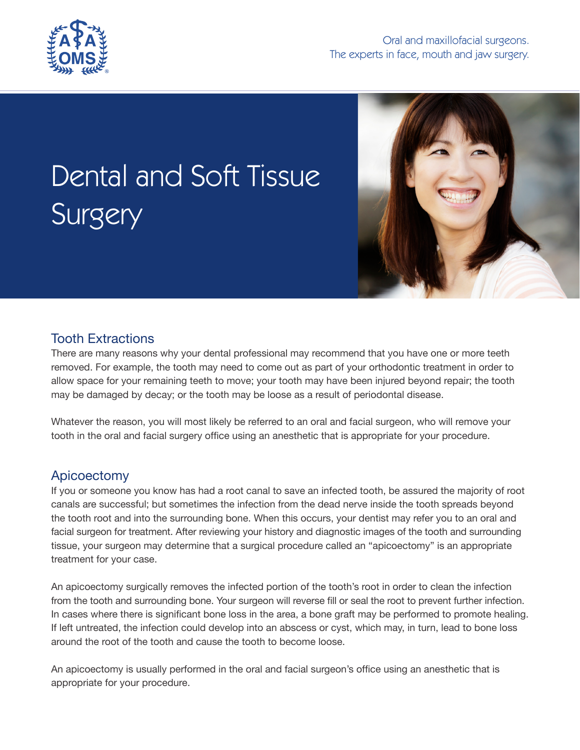

# Dental and Soft Tissue Surgery



## Tooth Extractions

There are many reasons why your dental professional may recommend that you have one or more teeth removed. For example, the tooth may need to come out as part of your orthodontic treatment in order to allow space for your remaining teeth to move; your tooth may have been injured beyond repair; the tooth may be damaged by decay; or the tooth may be loose as a result of periodontal disease.

Whatever the reason, you will most likely be referred to an oral and facial surgeon, who will remove your tooth in the oral and facial surgery office using an anesthetic that is appropriate for your procedure.

## Apicoectomy

If you or someone you know has had a root canal to save an infected tooth, be assured the majority of root canals are successful; but sometimes the infection from the dead nerve inside the tooth spreads beyond the tooth root and into the surrounding bone. When this occurs, your dentist may refer you to an oral and facial surgeon for treatment. After reviewing your history and diagnostic images of the tooth and surrounding tissue, your surgeon may determine that a surgical procedure called an "apicoectomy" is an appropriate treatment for your case.

An apicoectomy surgically removes the infected portion of the tooth's root in order to clean the infection from the tooth and surrounding bone. Your surgeon will reverse fill or seal the root to prevent further infection. In cases where there is significant bone loss in the area, a bone graft may be performed to promote healing. If left untreated, the infection could develop into an abscess or cyst, which may, in turn, lead to bone loss around the root of the tooth and cause the tooth to become loose.

An apicoectomy is usually performed in the oral and facial surgeon's office using an anesthetic that is appropriate for your procedure.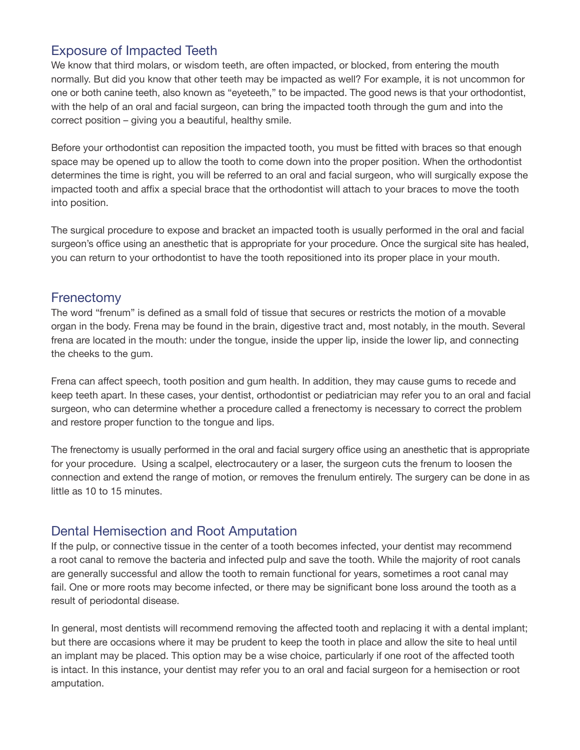## Exposure of Impacted Teeth

We know that third molars, or wisdom teeth, are often impacted, or blocked, from entering the mouth normally. But did you know that other teeth may be impacted as well? For example, it is not uncommon for one or both canine teeth, also known as "eyeteeth," to be impacted. The good news is that your orthodontist, with the help of an oral and facial surgeon, can bring the impacted tooth through the gum and into the correct position – giving you a beautiful, healthy smile.

Before your orthodontist can reposition the impacted tooth, you must be fitted with braces so that enough space may be opened up to allow the tooth to come down into the proper position. When the orthodontist determines the time is right, you will be referred to an oral and facial surgeon, who will surgically expose the impacted tooth and affix a special brace that the orthodontist will attach to your braces to move the tooth into position.

The surgical procedure to expose and bracket an impacted tooth is usually performed in the oral and facial surgeon's office using an anesthetic that is appropriate for your procedure. Once the surgical site has healed, you can return to your orthodontist to have the tooth repositioned into its proper place in your mouth.

#### Frenectomy

The word "frenum" is defined as a small fold of tissue that secures or restricts the motion of a movable organ in the body. Frena may be found in the brain, digestive tract and, most notably, in the mouth. Several frena are located in the mouth: under the tongue, inside the upper lip, inside the lower lip, and connecting the cheeks to the gum.

Frena can affect speech, tooth position and gum health. In addition, they may cause gums to recede and keep teeth apart. In these cases, your dentist, orthodontist or pediatrician may refer you to an oral and facial surgeon, who can determine whether a procedure called a frenectomy is necessary to correct the problem and restore proper function to the tongue and lips.

The frenectomy is usually performed in the oral and facial surgery office using an anesthetic that is appropriate for your procedure. Using a scalpel, electrocautery or a laser, the surgeon cuts the frenum to loosen the connection and extend the range of motion, or removes the frenulum entirely. The surgery can be done in as little as 10 to 15 minutes.

## Dental Hemisection and Root Amputation

If the pulp, or connective tissue in the center of a tooth becomes infected, your dentist may recommend a root canal to remove the bacteria and infected pulp and save the tooth. While the majority of root canals are generally successful and allow the tooth to remain functional for years, sometimes a root canal may fail. One or more roots may become infected, or there may be significant bone loss around the tooth as a result of periodontal disease.

In general, most dentists will recommend removing the affected tooth and replacing it with a dental implant; but there are occasions where it may be prudent to keep the tooth in place and allow the site to heal until an implant may be placed. This option may be a wise choice, particularly if one root of the affected tooth is intact. In this instance, your dentist may refer you to an oral and facial surgeon for a hemisection or root amputation.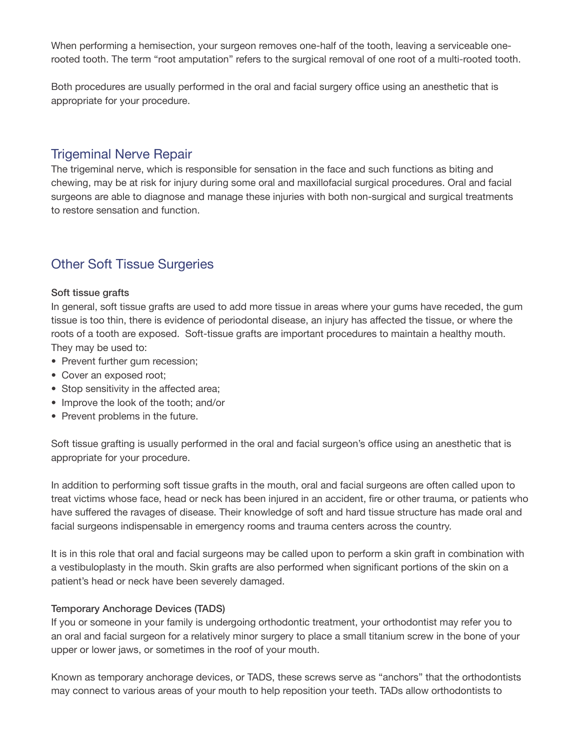When performing a hemisection, your surgeon removes one-half of the tooth, leaving a serviceable onerooted tooth. The term "root amputation" refers to the surgical removal of one root of a multi-rooted tooth.

Both procedures are usually performed in the oral and facial surgery office using an anesthetic that is appropriate for your procedure.

## Trigeminal Nerve Repair

The trigeminal nerve, which is responsible for sensation in the face and such functions as biting and chewing, may be at risk for injury during some oral and maxillofacial surgical procedures. Oral and facial surgeons are able to diagnose and manage these injuries with both non-surgical and surgical treatments to restore sensation and function.

## Other Soft Tissue Surgeries

#### Soft tissue grafts

In general, soft tissue grafts are used to add more tissue in areas where your gums have receded, the gum tissue is too thin, there is evidence of periodontal disease, an injury has affected the tissue, or where the roots of a tooth are exposed. Soft-tissue grafts are important procedures to maintain a healthy mouth. They may be used to:

- Prevent further gum recession;
- Cover an exposed root;
- Stop sensitivity in the affected area;
- Improve the look of the tooth; and/or
- Prevent problems in the future.

Soft tissue grafting is usually performed in the oral and facial surgeon's office using an anesthetic that is appropriate for your procedure.

In addition to performing soft tissue grafts in the mouth, oral and facial surgeons are often called upon to treat victims whose face, head or neck has been injured in an accident, fire or other trauma, or patients who have suffered the ravages of disease. Their knowledge of soft and hard tissue structure has made oral and facial surgeons indispensable in emergency rooms and trauma centers across the country.

It is in this role that oral and facial surgeons may be called upon to perform a skin graft in combination with a vestibuloplasty in the mouth. Skin grafts are also performed when significant portions of the skin on a patient's head or neck have been severely damaged.

#### Temporary Anchorage Devices (TADS)

If you or someone in your family is undergoing orthodontic treatment, your orthodontist may refer you to an oral and facial surgeon for a relatively minor surgery to place a small titanium screw in the bone of your upper or lower jaws, or sometimes in the roof of your mouth.

Known as temporary anchorage devices, or TADS, these screws serve as "anchors" that the orthodontists may connect to various areas of your mouth to help reposition your teeth. TADs allow orthodontists to